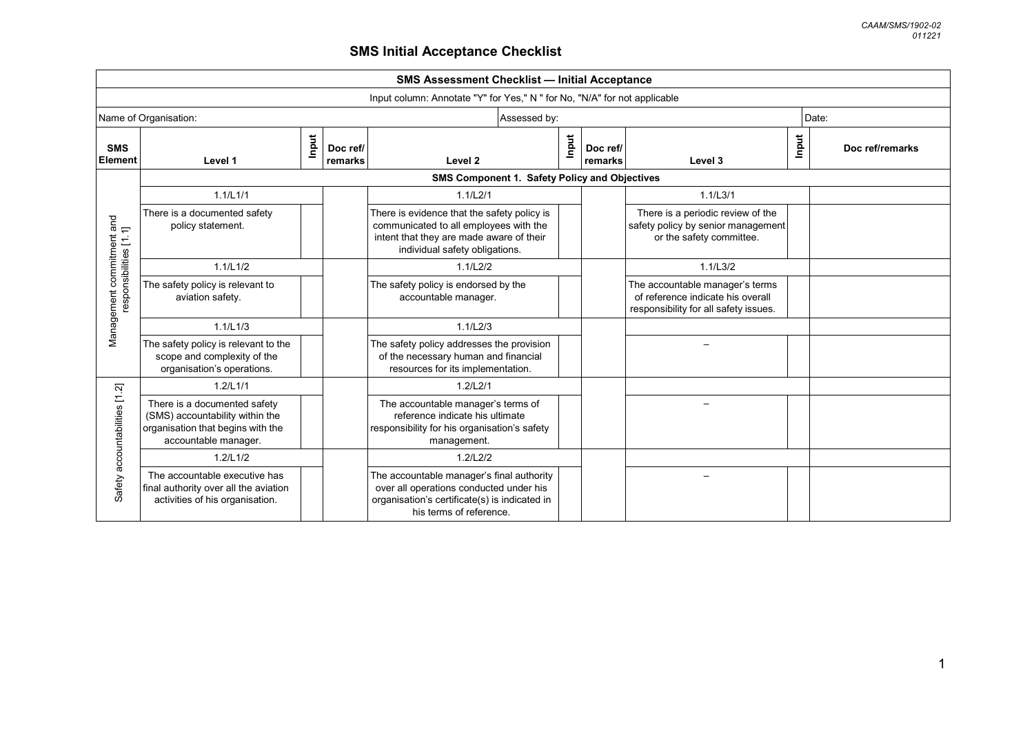| <b>SMS Assessment Checklist - Initial Acceptance</b> |                                                                                                                              |       |                     |                                                                                                                                                                     |       |                     |                                                                                                               |       |                 |
|------------------------------------------------------|------------------------------------------------------------------------------------------------------------------------------|-------|---------------------|---------------------------------------------------------------------------------------------------------------------------------------------------------------------|-------|---------------------|---------------------------------------------------------------------------------------------------------------|-------|-----------------|
|                                                      | Input column: Annotate "Y" for Yes," N " for No, "N/A" for not applicable                                                    |       |                     |                                                                                                                                                                     |       |                     |                                                                                                               |       |                 |
|                                                      | Name of Organisation:                                                                                                        |       |                     | Assessed by:                                                                                                                                                        |       |                     |                                                                                                               |       | Date:           |
| <b>SMS</b><br>Element                                | Level 1                                                                                                                      | Input | Doc ref/<br>remarks | Level <sub>2</sub>                                                                                                                                                  | Input | Doc ref/<br>remarks | Level 3                                                                                                       | Input | Doc ref/remarks |
|                                                      |                                                                                                                              |       |                     | SMS Component 1. Safety Policy and Objectives                                                                                                                       |       |                     |                                                                                                               |       |                 |
|                                                      | 1.1/L1/1                                                                                                                     |       |                     | 1.1/L2/1                                                                                                                                                            |       |                     | 1.1/L3/1                                                                                                      |       |                 |
| Management commitment and<br>responsibilities [1.1]  | There is a documented safety<br>policy statement.                                                                            |       |                     | There is evidence that the safety policy is<br>communicated to all employees with the<br>intent that they are made aware of their<br>individual safety obligations. |       |                     | There is a periodic review of the<br>safety policy by senior management<br>or the safety committee.           |       |                 |
|                                                      | 1.1/L1/2                                                                                                                     |       |                     | 1.1/L2/2                                                                                                                                                            |       |                     | 1.1/L3/2                                                                                                      |       |                 |
|                                                      | The safety policy is relevant to<br>aviation safety.                                                                         |       |                     | The safety policy is endorsed by the<br>accountable manager.                                                                                                        |       |                     | The accountable manager's terms<br>of reference indicate his overall<br>responsibility for all safety issues. |       |                 |
|                                                      | 1.1/L1/3                                                                                                                     |       |                     | 1.1/L2/3                                                                                                                                                            |       |                     |                                                                                                               |       |                 |
|                                                      | The safety policy is relevant to the<br>scope and complexity of the<br>organisation's operations.                            |       |                     | The safety policy addresses the provision<br>of the necessary human and financial<br>resources for its implementation.                                              |       |                     |                                                                                                               |       |                 |
|                                                      | 1.2/L1/1                                                                                                                     |       |                     | 1.2/L2/1                                                                                                                                                            |       |                     |                                                                                                               |       |                 |
| Safety accountabilities [1.2]                        | There is a documented safety<br>(SMS) accountability within the<br>organisation that begins with the<br>accountable manager. |       |                     | The accountable manager's terms of<br>reference indicate his ultimate<br>responsibility for his organisation's safety<br>management.                                |       |                     |                                                                                                               |       |                 |
|                                                      | 1.2/L1/2                                                                                                                     |       |                     | 1.2/L2/2                                                                                                                                                            |       |                     |                                                                                                               |       |                 |
|                                                      | The accountable executive has<br>final authority over all the aviation<br>activities of his organisation.                    |       |                     | The accountable manager's final authority<br>over all operations conducted under his<br>organisation's certificate(s) is indicated in<br>his terms of reference.    |       |                     |                                                                                                               |       |                 |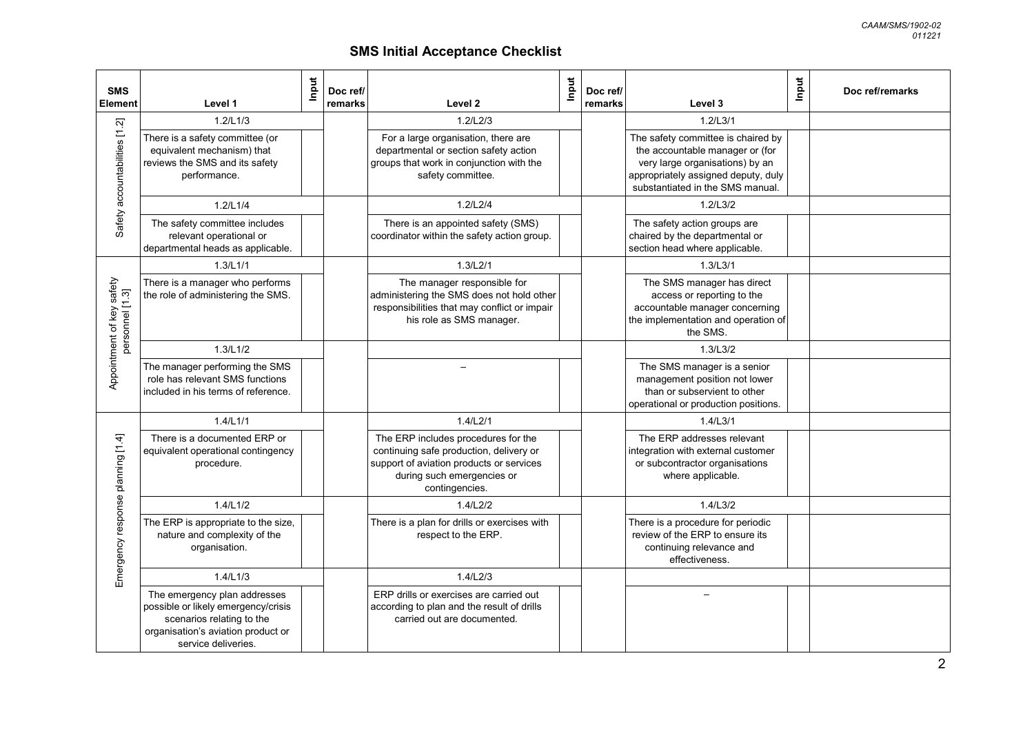| <b>SMS</b><br><b>Element</b>                 | Level 1                                                                                                                                                       | Input | Doc ref/<br>remarks | Level 2                                                                                                                                                                    | Input | Doc ref/<br>remarks | Level 3                                                                                                                                                                             | Input | Doc ref/remarks |
|----------------------------------------------|---------------------------------------------------------------------------------------------------------------------------------------------------------------|-------|---------------------|----------------------------------------------------------------------------------------------------------------------------------------------------------------------------|-------|---------------------|-------------------------------------------------------------------------------------------------------------------------------------------------------------------------------------|-------|-----------------|
| ក្                                           | 1.2/L1/3                                                                                                                                                      |       |                     | 1.2/L2/3                                                                                                                                                                   |       |                     | 1.2/L3/1                                                                                                                                                                            |       |                 |
| Safety accountabilities [1                   | There is a safety committee (or<br>equivalent mechanism) that<br>reviews the SMS and its safety<br>performance.                                               |       |                     | For a large organisation, there are<br>departmental or section safety action<br>groups that work in conjunction with the<br>safety committee.                              |       |                     | The safety committee is chaired by<br>the accountable manager or (for<br>very large organisations) by an<br>appropriately assigned deputy, duly<br>substantiated in the SMS manual. |       |                 |
|                                              | 1.2/L1/4                                                                                                                                                      |       |                     | 1.2/L2/4                                                                                                                                                                   |       |                     | 1.2/L3/2                                                                                                                                                                            |       |                 |
|                                              | The safety committee includes<br>relevant operational or<br>departmental heads as applicable.                                                                 |       |                     | There is an appointed safety (SMS)<br>coordinator within the safety action group.                                                                                          |       |                     | The safety action groups are<br>chaired by the departmental or<br>section head where applicable.                                                                                    |       |                 |
|                                              | 1.3/L1/1                                                                                                                                                      |       |                     | 1.3/L2/1                                                                                                                                                                   |       |                     | 1.3/L3/1                                                                                                                                                                            |       |                 |
| Appointment of key safety<br>personnel [1.3] | There is a manager who performs<br>the role of administering the SMS.                                                                                         |       |                     | The manager responsible for<br>administering the SMS does not hold other<br>responsibilities that may conflict or impair<br>his role as SMS manager.                       |       |                     | The SMS manager has direct<br>access or reporting to the<br>accountable manager concerning<br>the implementation and operation of<br>the SMS.                                       |       |                 |
|                                              | 1.3/L1/2                                                                                                                                                      |       |                     |                                                                                                                                                                            |       |                     | 1.3/L3/2                                                                                                                                                                            |       |                 |
|                                              | The manager performing the SMS<br>role has relevant SMS functions<br>included in his terms of reference.                                                      |       |                     |                                                                                                                                                                            |       |                     | The SMS manager is a senior<br>management position not lower<br>than or subservient to other<br>operational or production positions.                                                |       |                 |
|                                              | 1.4/L1/1                                                                                                                                                      |       |                     | 1.4/L2/1                                                                                                                                                                   |       |                     | 1.4/L3/1                                                                                                                                                                            |       |                 |
| planning [1.4]                               | There is a documented ERP or<br>equivalent operational contingency<br>procedure.                                                                              |       |                     | The ERP includes procedures for the<br>continuing safe production, delivery or<br>support of aviation products or services<br>during such emergencies or<br>contingencies. |       |                     | The ERP addresses relevant<br>integration with external customer<br>or subcontractor organisations<br>where applicable.                                                             |       |                 |
|                                              | 1.4/L1/2                                                                                                                                                      |       |                     | 1.4/L2/2                                                                                                                                                                   |       |                     | 1.4/L3/2                                                                                                                                                                            |       |                 |
| Emergency response                           | The ERP is appropriate to the size,<br>nature and complexity of the<br>organisation.                                                                          |       |                     | There is a plan for drills or exercises with<br>respect to the ERP.                                                                                                        |       |                     | There is a procedure for periodic<br>review of the ERP to ensure its<br>continuing relevance and<br>effectiveness.                                                                  |       |                 |
|                                              | 1.4/L1/3                                                                                                                                                      |       |                     | 1.4/L2/3                                                                                                                                                                   |       |                     |                                                                                                                                                                                     |       |                 |
|                                              | The emergency plan addresses<br>possible or likely emergency/crisis<br>scenarios relating to the<br>organisation's aviation product or<br>service deliveries. |       |                     | ERP drills or exercises are carried out<br>according to plan and the result of drills<br>carried out are documented.                                                       |       |                     |                                                                                                                                                                                     |       |                 |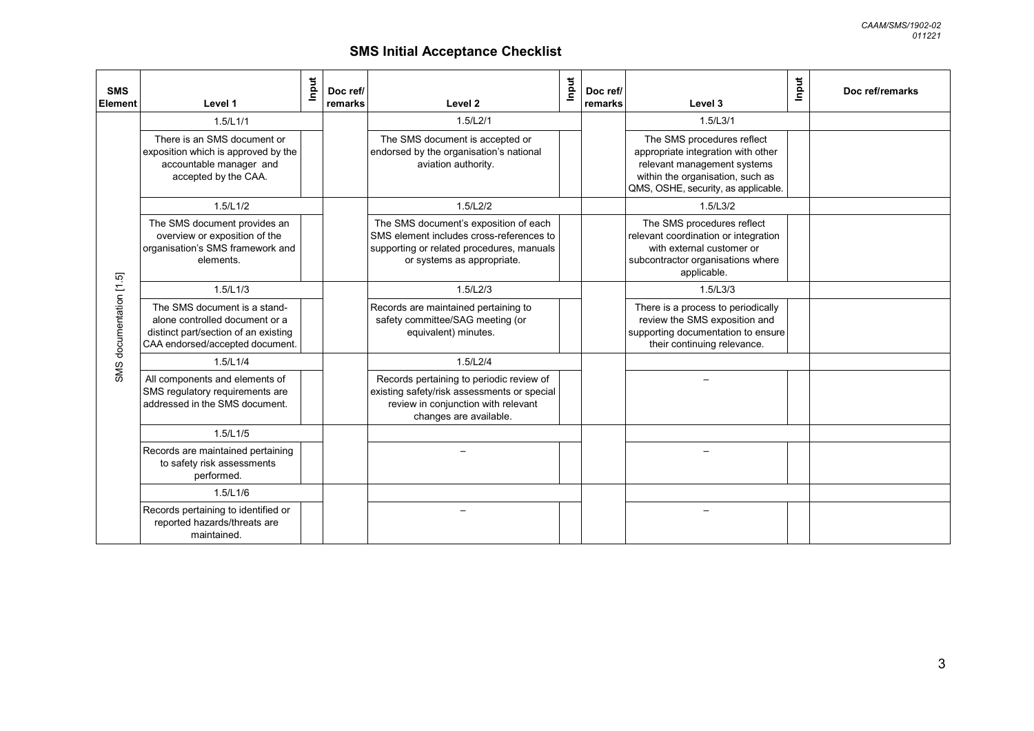| <b>SMS</b><br>Element   | Level 1                                                                                                                                   | Input | Doc ref/<br>remarks | Input<br>Level 2                                                                                                                                             | Doc ref/<br>remarks | Level 3                                                                                                                                                                    | Input<br>Doc ref/remarks |
|-------------------------|-------------------------------------------------------------------------------------------------------------------------------------------|-------|---------------------|--------------------------------------------------------------------------------------------------------------------------------------------------------------|---------------------|----------------------------------------------------------------------------------------------------------------------------------------------------------------------------|--------------------------|
|                         | 1.5/L1/1                                                                                                                                  |       |                     | 1.5/L2/1                                                                                                                                                     |                     | 1.5/L3/1                                                                                                                                                                   |                          |
|                         | There is an SMS document or<br>exposition which is approved by the<br>accountable manager and<br>accepted by the CAA.                     |       |                     | The SMS document is accepted or<br>endorsed by the organisation's national<br>aviation authority.                                                            |                     | The SMS procedures reflect<br>appropriate integration with other<br>relevant management systems<br>within the organisation, such as<br>QMS, OSHE, security, as applicable. |                          |
|                         | 1.5/L1/2                                                                                                                                  |       |                     | 1.5/L2/2                                                                                                                                                     |                     | 1.5/L3/2                                                                                                                                                                   |                          |
|                         | The SMS document provides an<br>overview or exposition of the<br>organisation's SMS framework and<br>elements.                            |       |                     | The SMS document's exposition of each<br>SMS element includes cross-references to<br>supporting or related procedures, manuals<br>or systems as appropriate. |                     | The SMS procedures reflect<br>relevant coordination or integration<br>with external customer or<br>subcontractor organisations where<br>applicable.                        |                          |
|                         | 1.5/L1/3                                                                                                                                  |       |                     | 1.5/L2/3                                                                                                                                                     |                     | 1.5/L3/3                                                                                                                                                                   |                          |
| SMS documentation [1.5] | The SMS document is a stand-<br>alone controlled document or a<br>distinct part/section of an existing<br>CAA endorsed/accepted document. |       |                     | Records are maintained pertaining to<br>safety committee/SAG meeting (or<br>equivalent) minutes.                                                             |                     | There is a process to periodically<br>review the SMS exposition and<br>supporting documentation to ensure<br>their continuing relevance.                                   |                          |
|                         | 1.5/L1/4                                                                                                                                  |       |                     | 1.5/L2/4                                                                                                                                                     |                     |                                                                                                                                                                            |                          |
|                         | All components and elements of<br>SMS regulatory requirements are<br>addressed in the SMS document.                                       |       |                     | Records pertaining to periodic review of<br>existing safety/risk assessments or special<br>review in conjunction with relevant<br>changes are available.     |                     |                                                                                                                                                                            |                          |
|                         | 1.5/L1/5                                                                                                                                  |       |                     |                                                                                                                                                              |                     |                                                                                                                                                                            |                          |
|                         | Records are maintained pertaining<br>to safety risk assessments<br>performed.                                                             |       |                     |                                                                                                                                                              |                     |                                                                                                                                                                            |                          |
|                         | 1.5/L1/6                                                                                                                                  |       |                     |                                                                                                                                                              |                     |                                                                                                                                                                            |                          |
|                         | Records pertaining to identified or<br>reported hazards/threats are<br>maintained.                                                        |       |                     |                                                                                                                                                              |                     |                                                                                                                                                                            |                          |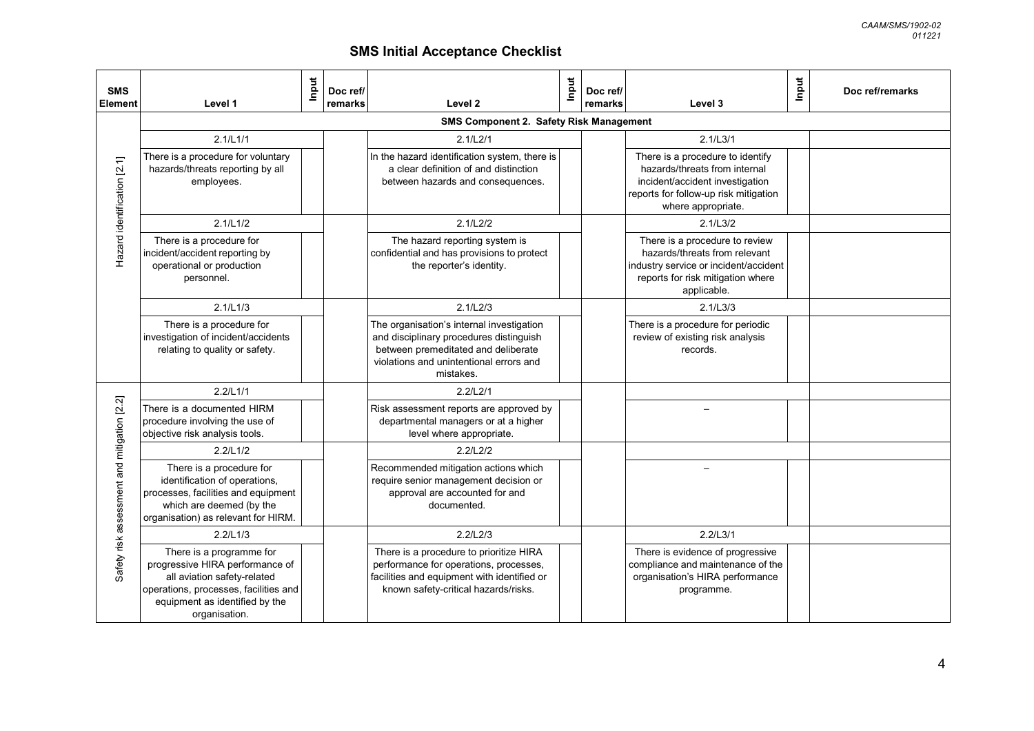| <b>SMS</b><br><b>Element</b>                | Level 1                                                                                                                                                                                | Input | Doc ref/<br>remarks | Level 2                                                                                                                                                                             | Input | Doc ref/<br>remarks | Level 3                                                                                                                                                             | Input<br>Doc ref/remarks |  |  |
|---------------------------------------------|----------------------------------------------------------------------------------------------------------------------------------------------------------------------------------------|-------|---------------------|-------------------------------------------------------------------------------------------------------------------------------------------------------------------------------------|-------|---------------------|---------------------------------------------------------------------------------------------------------------------------------------------------------------------|--------------------------|--|--|
|                                             | SMS Component 2. Safety Risk Management                                                                                                                                                |       |                     |                                                                                                                                                                                     |       |                     |                                                                                                                                                                     |                          |  |  |
|                                             | 2.1/L1/1                                                                                                                                                                               |       |                     | 2.1/L2/1                                                                                                                                                                            |       |                     | 2.1/L3/1                                                                                                                                                            |                          |  |  |
| Hazard identification [2.1]                 | There is a procedure for voluntary<br>hazards/threats reporting by all<br>employees.                                                                                                   |       |                     | In the hazard identification system, there is<br>a clear definition of and distinction<br>between hazards and consequences.                                                         |       |                     | There is a procedure to identify<br>hazards/threats from internal<br>incident/accident investigation<br>reports for follow-up risk mitigation<br>where appropriate. |                          |  |  |
|                                             | 2.1/L1/2                                                                                                                                                                               |       |                     | 2.1/L2/2                                                                                                                                                                            |       |                     | 2.1/L3/2                                                                                                                                                            |                          |  |  |
|                                             | There is a procedure for<br>incident/accident reporting by<br>operational or production<br>personnel.                                                                                  |       |                     | The hazard reporting system is<br>confidential and has provisions to protect<br>the reporter's identity.                                                                            |       |                     | There is a procedure to review<br>hazards/threats from relevant<br>industry service or incident/accident<br>reports for risk mitigation where<br>applicable.        |                          |  |  |
|                                             | 2.1/L1/3                                                                                                                                                                               |       |                     | 2.1/L2/3                                                                                                                                                                            |       |                     | 2.1/L3/3                                                                                                                                                            |                          |  |  |
|                                             | There is a procedure for<br>investigation of incident/accidents<br>relating to quality or safety.                                                                                      |       |                     | The organisation's internal investigation<br>and disciplinary procedures distinguish<br>between premeditated and deliberate<br>violations and unintentional errors and<br>mistakes. |       |                     | There is a procedure for periodic<br>review of existing risk analysis<br>records.                                                                                   |                          |  |  |
|                                             | 2.2/L1/1                                                                                                                                                                               |       |                     | 2.2/L2/1                                                                                                                                                                            |       |                     |                                                                                                                                                                     |                          |  |  |
|                                             | There is a documented HIRM<br>procedure involving the use of<br>objective risk analysis tools.                                                                                         |       |                     | Risk assessment reports are approved by<br>departmental managers or at a higher<br>level where appropriate.                                                                         |       |                     |                                                                                                                                                                     |                          |  |  |
|                                             | 2.2/L1/2                                                                                                                                                                               |       |                     | 2.2/L2/2                                                                                                                                                                            |       |                     |                                                                                                                                                                     |                          |  |  |
| Safety risk assessment and mitigation [2.2] | There is a procedure for<br>identification of operations,<br>processes, facilities and equipment<br>which are deemed (by the<br>organisation) as relevant for HIRM.                    |       |                     | Recommended mitigation actions which<br>require senior management decision or<br>approval are accounted for and<br>documented.                                                      |       |                     |                                                                                                                                                                     |                          |  |  |
|                                             | 2.2/L1/3                                                                                                                                                                               |       |                     | 2.2/L2/3                                                                                                                                                                            |       |                     | 2.2/L3/1                                                                                                                                                            |                          |  |  |
|                                             | There is a programme for<br>progressive HIRA performance of<br>all aviation safety-related<br>operations, processes, facilities and<br>equipment as identified by the<br>organisation. |       |                     | There is a procedure to prioritize HIRA<br>performance for operations, processes,<br>facilities and equipment with identified or<br>known safety-critical hazards/risks.            |       |                     | There is evidence of progressive<br>compliance and maintenance of the<br>organisation's HIRA performance<br>programme.                                              |                          |  |  |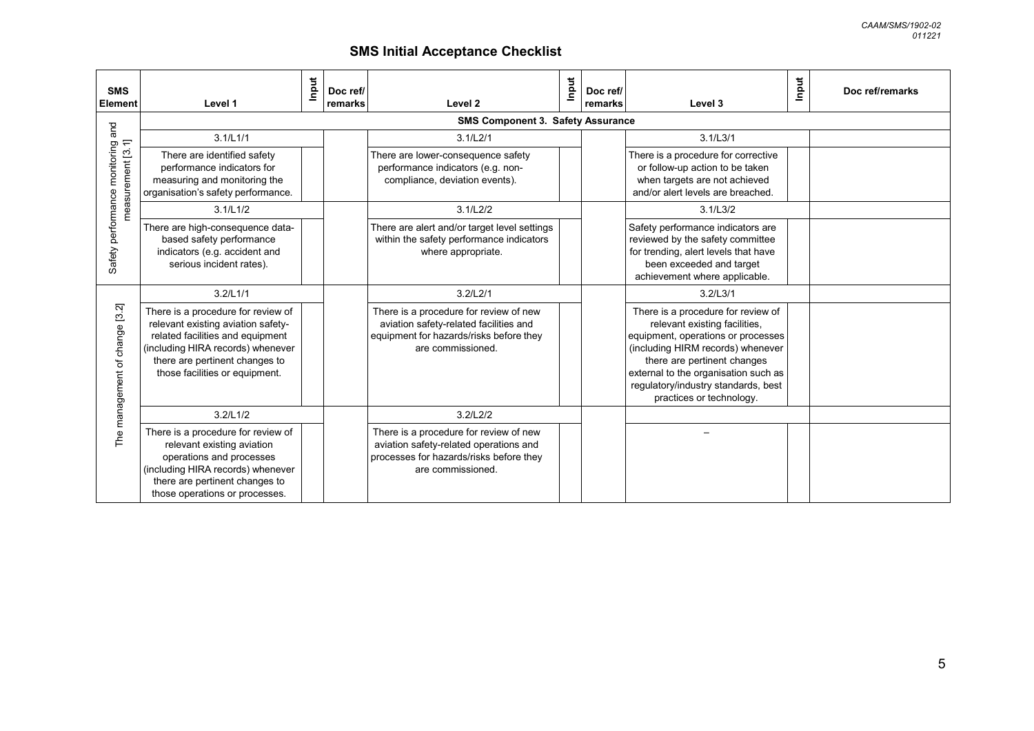*CAAM/SMS/1902-02 011221*

| <b>SMS</b><br><b>Element</b>                       | Level 1                                                                                                                                                                                                               | Input | Doc ref/<br>remarks | Level 2                                                                                                                                          | Input | Doc ref/<br>remarks | Input<br>Level 3                                                                                                                                                                                                                                                                         | Doc ref/remarks |
|----------------------------------------------------|-----------------------------------------------------------------------------------------------------------------------------------------------------------------------------------------------------------------------|-------|---------------------|--------------------------------------------------------------------------------------------------------------------------------------------------|-------|---------------------|------------------------------------------------------------------------------------------------------------------------------------------------------------------------------------------------------------------------------------------------------------------------------------------|-----------------|
|                                                    |                                                                                                                                                                                                                       |       |                     | SMS Component 3. Safety Assurance                                                                                                                |       |                     |                                                                                                                                                                                                                                                                                          |                 |
| and                                                | 3.1/L1/1                                                                                                                                                                                                              |       |                     | 3.1/L2/1                                                                                                                                         |       |                     | 3.1/L3/1                                                                                                                                                                                                                                                                                 |                 |
| Safety performance monitoring<br>measurement [3.1] | There are identified safety<br>performance indicators for<br>measuring and monitoring the<br>organisation's safety performance.                                                                                       |       |                     | There are lower-consequence safety<br>performance indicators (e.g. non-<br>compliance, deviation events).                                        |       |                     | There is a procedure for corrective<br>or follow-up action to be taken<br>when targets are not achieved<br>and/or alert levels are breached.                                                                                                                                             |                 |
|                                                    | 3.1/L1/2                                                                                                                                                                                                              |       |                     | 3.1/L2/2                                                                                                                                         |       |                     | 3.1/L3/2                                                                                                                                                                                                                                                                                 |                 |
|                                                    | There are high-consequence data-<br>based safety performance<br>indicators (e.g. accident and<br>serious incident rates).                                                                                             |       |                     | There are alert and/or target level settings<br>within the safety performance indicators<br>where appropriate.                                   |       |                     | Safety performance indicators are<br>reviewed by the safety committee<br>for trending, alert levels that have<br>been exceeded and target<br>achievement where applicable.                                                                                                               |                 |
|                                                    | 3.2/L1/1                                                                                                                                                                                                              |       |                     | 3.2/L2/1                                                                                                                                         |       |                     | 3.2/L3/1                                                                                                                                                                                                                                                                                 |                 |
| The management of change [3.2]                     | There is a procedure for review of<br>relevant existing aviation safety-<br>related facilities and equipment<br>(including HIRA records) whenever<br>there are pertinent changes to<br>those facilities or equipment. |       |                     | There is a procedure for review of new<br>aviation safety-related facilities and<br>equipment for hazards/risks before they<br>are commissioned. |       |                     | There is a procedure for review of<br>relevant existing facilities,<br>equipment, operations or processes<br>(including HIRM records) whenever<br>there are pertinent changes<br>external to the organisation such as<br>regulatory/industry standards, best<br>practices or technology. |                 |
|                                                    | 3.2/L1/2                                                                                                                                                                                                              |       |                     | 3.2/L2/2                                                                                                                                         |       |                     |                                                                                                                                                                                                                                                                                          |                 |
|                                                    | There is a procedure for review of<br>relevant existing aviation<br>operations and processes<br>(including HIRA records) whenever<br>there are pertinent changes to<br>those operations or processes.                 |       |                     | There is a procedure for review of new<br>aviation safety-related operations and<br>processes for hazards/risks before they<br>are commissioned. |       |                     |                                                                                                                                                                                                                                                                                          |                 |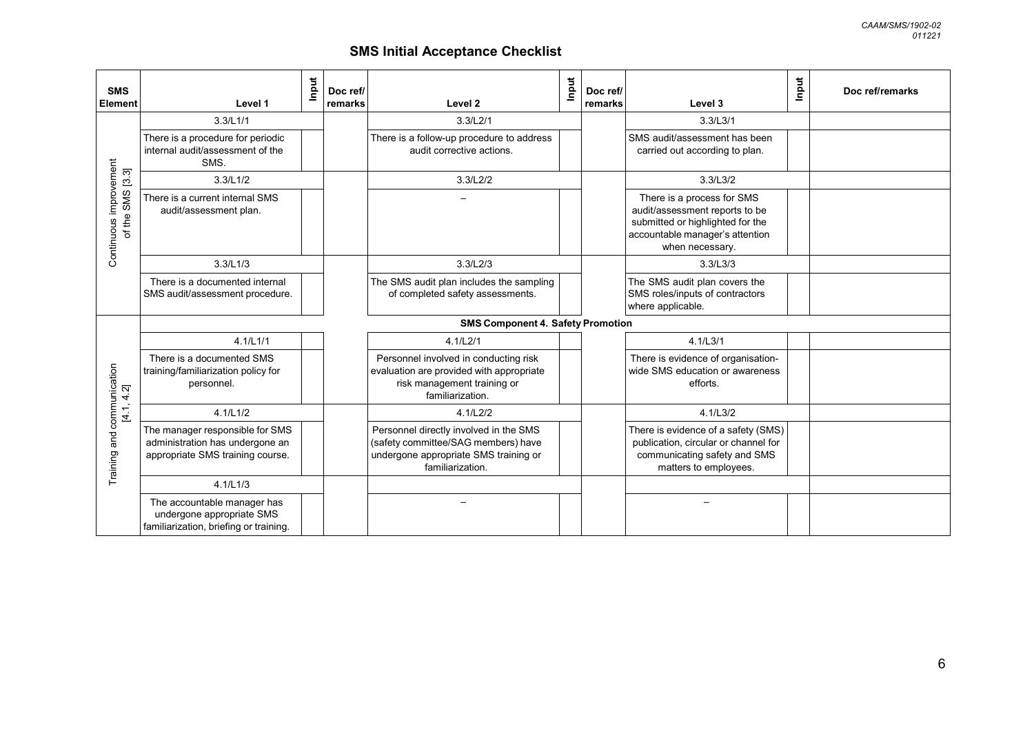| <b>SMS</b><br><b>Element</b>               | Input<br>Level 1                                                                                       | Doc ref/<br>Level <sub>2</sub><br>remarks                                                                                                  | Input | Doc ref/<br>remarks | Input<br>Level 3                                                                                                                                       | Doc ref/remarks |
|--------------------------------------------|--------------------------------------------------------------------------------------------------------|--------------------------------------------------------------------------------------------------------------------------------------------|-------|---------------------|--------------------------------------------------------------------------------------------------------------------------------------------------------|-----------------|
|                                            | 3.3/L1/1                                                                                               | 3.3/L2/1                                                                                                                                   |       |                     | 3.3/L3/1                                                                                                                                               |                 |
|                                            | There is a procedure for periodic<br>internal audit/assessment of the<br>SMS.                          | There is a follow-up procedure to address<br>audit corrective actions.                                                                     |       |                     | SMS audit/assessment has been<br>carried out according to plan.                                                                                        |                 |
|                                            | 3.3/L1/2                                                                                               | 3.3/L2/2                                                                                                                                   |       |                     | 3.3/L3/2                                                                                                                                               |                 |
| Continuous improvement<br>of the SMS [3.3] | There is a current internal SMS<br>audit/assessment plan.                                              |                                                                                                                                            |       |                     | There is a process for SMS<br>audit/assessment reports to be<br>submitted or highlighted for the<br>accountable manager's attention<br>when necessary. |                 |
|                                            | 3.3/L1/3                                                                                               | 3.3/L2/3                                                                                                                                   |       |                     | 3.3/L3/3                                                                                                                                               |                 |
|                                            | There is a documented internal<br>SMS audit/assessment procedure.                                      | The SMS audit plan includes the sampling<br>of completed safety assessments.                                                               |       |                     | The SMS audit plan covers the<br>SMS roles/inputs of contractors<br>where applicable.                                                                  |                 |
|                                            |                                                                                                        | <b>SMS Component 4. Safety Promotion</b>                                                                                                   |       |                     |                                                                                                                                                        |                 |
|                                            | 4.1/L1/1                                                                                               | 4.1/L2/1                                                                                                                                   |       |                     | 4.1/L3/1                                                                                                                                               |                 |
|                                            | There is a documented SMS<br>training/familiarization policy for<br>personnel.                         | Personnel involved in conducting risk<br>evaluation are provided with appropriate<br>risk management training or<br>familiarization.       |       |                     | There is evidence of organisation-<br>wide SMS education or awareness<br>efforts.                                                                      |                 |
|                                            | 4.1/L1/2                                                                                               | 4.1/L2/2                                                                                                                                   |       |                     | 4.1/L3/2                                                                                                                                               |                 |
| Training and communication<br>[4.1, 4.2]   | The manager responsible for SMS<br>administration has undergone an<br>appropriate SMS training course. | Personnel directly involved in the SMS<br>(safety committee/SAG members) have<br>undergone appropriate SMS training or<br>familiarization. |       |                     | There is evidence of a safety (SMS)<br>publication, circular or channel for<br>communicating safety and SMS<br>matters to employees.                   |                 |
|                                            | 4.1/L1/3                                                                                               |                                                                                                                                            |       |                     |                                                                                                                                                        |                 |
|                                            | The accountable manager has<br>undergone appropriate SMS<br>familiarization, briefing or training.     |                                                                                                                                            |       |                     |                                                                                                                                                        |                 |